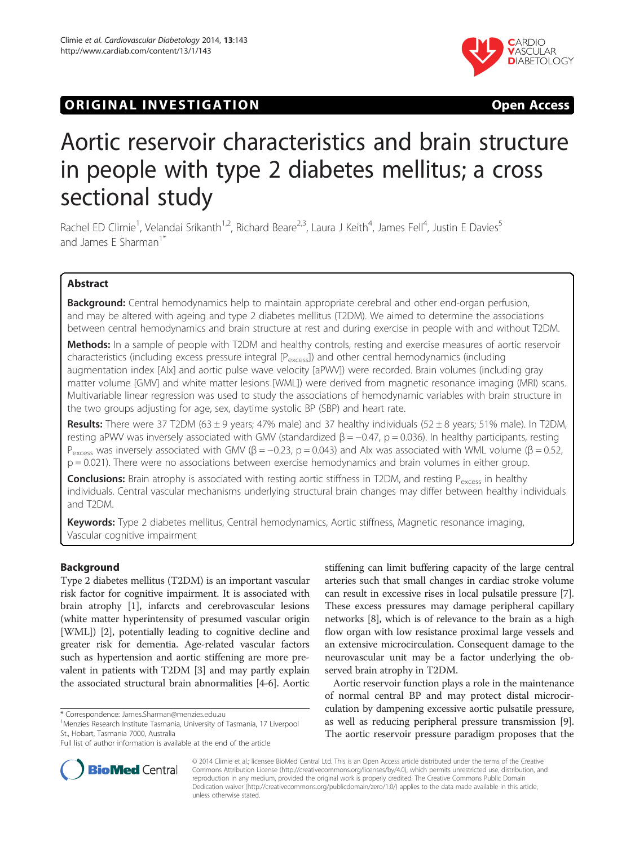



# Aortic reservoir characteristics and brain structure in people with type 2 diabetes mellitus; a cross sectional study

Rachel ED Climie<sup>1</sup>, Velandai Srikanth<sup>1,2</sup>, Richard Beare<sup>2,3</sup>, Laura J Keith<sup>4</sup>, James Fell<sup>4</sup>, Justin E Davies<sup>5</sup> and James F Sharman<sup>1\*</sup>

# Abstract

Background: Central hemodynamics help to maintain appropriate cerebral and other end-organ perfusion, and may be altered with ageing and type 2 diabetes mellitus (T2DM). We aimed to determine the associations between central hemodynamics and brain structure at rest and during exercise in people with and without T2DM.

Methods: In a sample of people with T2DM and healthy controls, resting and exercise measures of aortic reservoir characteristics (including excess pressure integral  $[P_{excess}]$ ) and other central hemodynamics (including augmentation index [AIx] and aortic pulse wave velocity [aPWV]) were recorded. Brain volumes (including gray matter volume [GMV] and white matter lesions [WML]) were derived from magnetic resonance imaging (MRI) scans. Multivariable linear regression was used to study the associations of hemodynamic variables with brain structure in the two groups adjusting for age, sex, daytime systolic BP (SBP) and heart rate.

Results: There were 37 T2DM (63  $\pm$  9 years; 47% male) and 37 healthy individuals (52  $\pm$  8 years; 51% male). In T2DM, resting aPWV was inversely associated with GMV (standardized  $\beta = -0.47$ , p = 0.036). In healthy participants, resting P<sub>excess</sub> was inversely associated with GMV (β = -0.23, p = 0.043) and Alx was associated with WML volume (β = 0.52, p = 0.021). There were no associations between exercise hemodynamics and brain volumes in either group.

**Conclusions:** Brain atrophy is associated with resting aortic stiffness in T2DM, and resting P<sub>excess</sub> in healthy individuals. Central vascular mechanisms underlying structural brain changes may differ between healthy individuals and T2DM.

Keywords: Type 2 diabetes mellitus, Central hemodynamics, Aortic stiffness, Magnetic resonance imaging, Vascular cognitive impairment

# Background

Type 2 diabetes mellitus (T2DM) is an important vascular risk factor for cognitive impairment. It is associated with brain atrophy [\[1\]](#page-7-0), infarcts and cerebrovascular lesions (white matter hyperintensity of presumed vascular origin [WML]) [\[2](#page-7-0)], potentially leading to cognitive decline and greater risk for dementia. Age-related vascular factors such as hypertension and aortic stiffening are more prevalent in patients with T2DM [\[3](#page-7-0)] and may partly explain the associated structural brain abnormalities [\[4](#page-7-0)-[6\]](#page-7-0). Aortic

stiffening can limit buffering capacity of the large central arteries such that small changes in cardiac stroke volume can result in excessive rises in local pulsatile pressure [[7](#page-7-0)]. These excess pressures may damage peripheral capillary networks [[8\]](#page-7-0), which is of relevance to the brain as a high flow organ with low resistance proximal large vessels and an extensive microcirculation. Consequent damage to the neurovascular unit may be a factor underlying the observed brain atrophy in T2DM.

Aortic reservoir function plays a role in the maintenance of normal central BP and may protect distal microcirculation by dampening excessive aortic pulsatile pressure, as well as reducing peripheral pressure transmission [[9](#page-7-0)]. The aortic reservoir pressure paradigm proposes that the



© 2014 Climie et al.; licensee BioMed Central Ltd. This is an Open Access article distributed under the terms of the Creative Commons Attribution License [\(http://creativecommons.org/licenses/by/4.0\)](http://creativecommons.org/licenses/by/4.0), which permits unrestricted use, distribution, and reproduction in any medium, provided the original work is properly credited. The Creative Commons Public Domain Dedication waiver [\(http://creativecommons.org/publicdomain/zero/1.0/](http://creativecommons.org/publicdomain/zero/1.0/)) applies to the data made available in this article, unless otherwise stated.

<sup>\*</sup> Correspondence: [James.Sharman@menzies.edu.au](mailto:James.Sharman@menzies.edu.au) <sup>1</sup>

<sup>&</sup>lt;sup>1</sup>Menzies Research Institute Tasmania, University of Tasmania, 17 Liverpool St., Hobart, Tasmania 7000, Australia

Full list of author information is available at the end of the article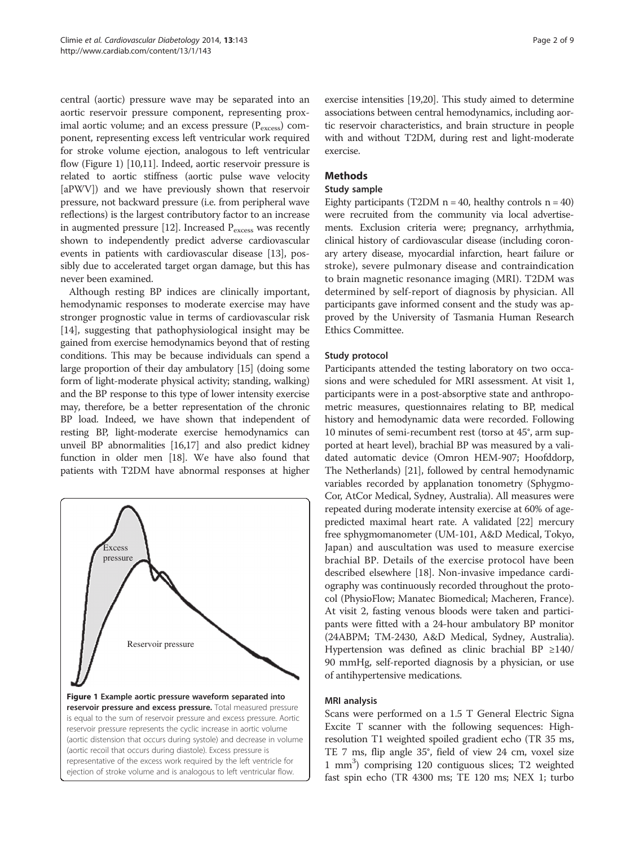<span id="page-1-0"></span>central (aortic) pressure wave may be separated into an aortic reservoir pressure component, representing proximal aortic volume; and an excess pressure  $(P_{excess})$  component, representing excess left ventricular work required for stroke volume ejection, analogous to left ventricular flow (Figure 1) [[10,11](#page-7-0)]. Indeed, aortic reservoir pressure is related to aortic stiffness (aortic pulse wave velocity [aPWV]) and we have previously shown that reservoir pressure, not backward pressure (i.e. from peripheral wave reflections) is the largest contributory factor to an increase in augmented pressure  $[12]$  $[12]$  $[12]$ . Increased  $P_{excess}$  was recently shown to independently predict adverse cardiovascular events in patients with cardiovascular disease [[13](#page-7-0)], possibly due to accelerated target organ damage, but this has never been examined.

Although resting BP indices are clinically important, hemodynamic responses to moderate exercise may have stronger prognostic value in terms of cardiovascular risk [[14\]](#page-7-0), suggesting that pathophysiological insight may be gained from exercise hemodynamics beyond that of resting conditions. This may be because individuals can spend a large proportion of their day ambulatory [\[15\]](#page-7-0) (doing some form of light-moderate physical activity; standing, walking) and the BP response to this type of lower intensity exercise may, therefore, be a better representation of the chronic BP load. Indeed, we have shown that independent of resting BP, light-moderate exercise hemodynamics can unveil BP abnormalities [\[16](#page-7-0),[17\]](#page-8-0) and also predict kidney function in older men [\[18\]](#page-8-0). We have also found that patients with T2DM have abnormal responses at higher



exercise intensities [\[19,20](#page-8-0)]. This study aimed to determine associations between central hemodynamics, including aortic reservoir characteristics, and brain structure in people with and without T2DM, during rest and light-moderate exercise.

# **Methods**

## Study sample

Eighty participants (T2DM  $n = 40$ , healthy controls  $n = 40$ ) were recruited from the community via local advertisements. Exclusion criteria were; pregnancy, arrhythmia, clinical history of cardiovascular disease (including coronary artery disease, myocardial infarction, heart failure or stroke), severe pulmonary disease and contraindication to brain magnetic resonance imaging (MRI). T2DM was determined by self-report of diagnosis by physician. All participants gave informed consent and the study was approved by the University of Tasmania Human Research Ethics Committee.

## Study protocol

Participants attended the testing laboratory on two occasions and were scheduled for MRI assessment. At visit 1, participants were in a post-absorptive state and anthropometric measures, questionnaires relating to BP, medical history and hemodynamic data were recorded. Following 10 minutes of semi-recumbent rest (torso at 45°, arm supported at heart level), brachial BP was measured by a validated automatic device (Omron HEM-907; Hoofddorp, The Netherlands) [[21](#page-8-0)], followed by central hemodynamic variables recorded by applanation tonometry (Sphygmo-Cor, AtCor Medical, Sydney, Australia). All measures were repeated during moderate intensity exercise at 60% of agepredicted maximal heart rate. A validated [[22](#page-8-0)] mercury free sphygmomanometer (UM-101, A&D Medical, Tokyo, Japan) and auscultation was used to measure exercise brachial BP. Details of the exercise protocol have been described elsewhere [[18](#page-8-0)]. Non-invasive impedance cardiography was continuously recorded throughout the protocol (PhysioFlow; Manatec Biomedical; Macheren, France). At visit 2, fasting venous bloods were taken and participants were fitted with a 24-hour ambulatory BP monitor (24ABPM; TM-2430, A&D Medical, Sydney, Australia). Hypertension was defined as clinic brachial BP ≥140/ 90 mmHg, self-reported diagnosis by a physician, or use of antihypertensive medications.

## MRI analysis

Scans were performed on a 1.5 T General Electric Signa Excite T scanner with the following sequences: Highresolution T1 weighted spoiled gradient echo (TR 35 ms, TE 7 ms, flip angle 35°, field of view 24 cm, voxel size 1 mm3 ) comprising 120 contiguous slices; T2 weighted fast spin echo (TR 4300 ms; TE 120 ms; NEX 1; turbo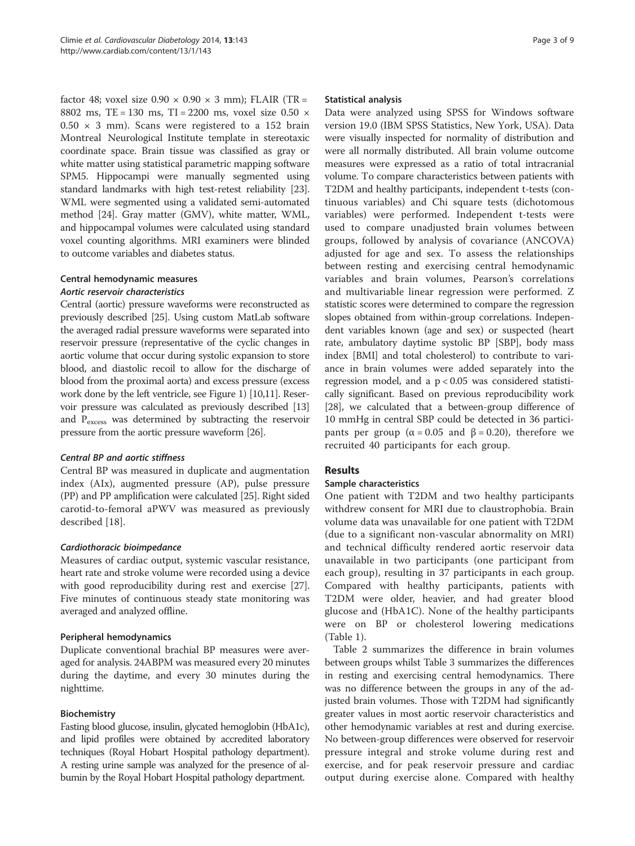factor 48; voxel size  $0.90 \times 0.90 \times 3$  mm); FLAIR (TR = 8802 ms, TE = 130 ms, TI = 2200 ms, voxel size 0.50 ×  $0.50 \times 3$  mm). Scans were registered to a 152 brain Montreal Neurological Institute template in stereotaxic coordinate space. Brain tissue was classified as gray or white matter using statistical parametric mapping software SPM5. Hippocampi were manually segmented using standard landmarks with high test-retest reliability [[23](#page-8-0)]. WML were segmented using a validated semi-automated method [\[24\]](#page-8-0). Gray matter (GMV), white matter, WML, and hippocampal volumes were calculated using standard voxel counting algorithms. MRI examiners were blinded to outcome variables and diabetes status.

# Central hemodynamic measures Aortic reservoir characteristics

Central (aortic) pressure waveforms were reconstructed as previously described [[25](#page-8-0)]. Using custom MatLab software the averaged radial pressure waveforms were separated into reservoir pressure (representative of the cyclic changes in aortic volume that occur during systolic expansion to store blood, and diastolic recoil to allow for the discharge of blood from the proximal aorta) and excess pressure (excess work done by the left ventricle, see Figure [1](#page-1-0)) [\[10,11\]](#page-7-0). Reservoir pressure was calculated as previously described [[13](#page-7-0)] and Pexcess was determined by subtracting the reservoir pressure from the aortic pressure waveform [\[26](#page-8-0)].

## Central BP and aortic stiffness

Central BP was measured in duplicate and augmentation index (AIx), augmented pressure (AP), pulse pressure (PP) and PP amplification were calculated [[25](#page-8-0)]. Right sided carotid-to-femoral aPWV was measured as previously described [\[18](#page-8-0)].

# Cardiothoracic bioimpedance

Measures of cardiac output, systemic vascular resistance, heart rate and stroke volume were recorded using a device with good reproducibility during rest and exercise [[27](#page-8-0)]. Five minutes of continuous steady state monitoring was averaged and analyzed offline.

# Peripheral hemodynamics

Duplicate conventional brachial BP measures were averaged for analysis. 24ABPM was measured every 20 minutes during the daytime, and every 30 minutes during the nighttime.

# Biochemistry

Fasting blood glucose, insulin, glycated hemoglobin (HbA1c), and lipid profiles were obtained by accredited laboratory techniques (Royal Hobart Hospital pathology department). A resting urine sample was analyzed for the presence of albumin by the Royal Hobart Hospital pathology department.

## Statistical analysis

Data were analyzed using SPSS for Windows software version 19.0 (IBM SPSS Statistics, New York, USA). Data were visually inspected for normality of distribution and were all normally distributed. All brain volume outcome measures were expressed as a ratio of total intracranial volume. To compare characteristics between patients with T2DM and healthy participants, independent t-tests (continuous variables) and Chi square tests (dichotomous variables) were performed. Independent t-tests were used to compare unadjusted brain volumes between groups, followed by analysis of covariance (ANCOVA) adjusted for age and sex. To assess the relationships between resting and exercising central hemodynamic variables and brain volumes, Pearson's correlations and multivariable linear regression were performed. Z statistic scores were determined to compare the regression slopes obtained from within-group correlations. Independent variables known (age and sex) or suspected (heart rate, ambulatory daytime systolic BP [SBP], body mass index [BMI] and total cholesterol) to contribute to variance in brain volumes were added separately into the regression model, and a  $p < 0.05$  was considered statistically significant. Based on previous reproducibility work [[28](#page-8-0)], we calculated that a between-group difference of 10 mmHg in central SBP could be detected in 36 participants per group ( $α = 0.05$  and  $β = 0.20$ ), therefore we recruited 40 participants for each group.

# Results

# Sample characteristics

One patient with T2DM and two healthy participants withdrew consent for MRI due to claustrophobia. Brain volume data was unavailable for one patient with T2DM (due to a significant non-vascular abnormality on MRI) and technical difficulty rendered aortic reservoir data unavailable in two participants (one participant from each group), resulting in 37 participants in each group. Compared with healthy participants, patients with T2DM were older, heavier, and had greater blood glucose and (HbA1C). None of the healthy participants were on BP or cholesterol lowering medications (Table [1](#page-3-0)).

Table [2](#page-3-0) summarizes the difference in brain volumes between groups whilst Table [3](#page-4-0) summarizes the differences in resting and exercising central hemodynamics. There was no difference between the groups in any of the adjusted brain volumes. Those with T2DM had significantly greater values in most aortic reservoir characteristics and other hemodynamic variables at rest and during exercise. No between-group differences were observed for reservoir pressure integral and stroke volume during rest and exercise, and for peak reservoir pressure and cardiac output during exercise alone. Compared with healthy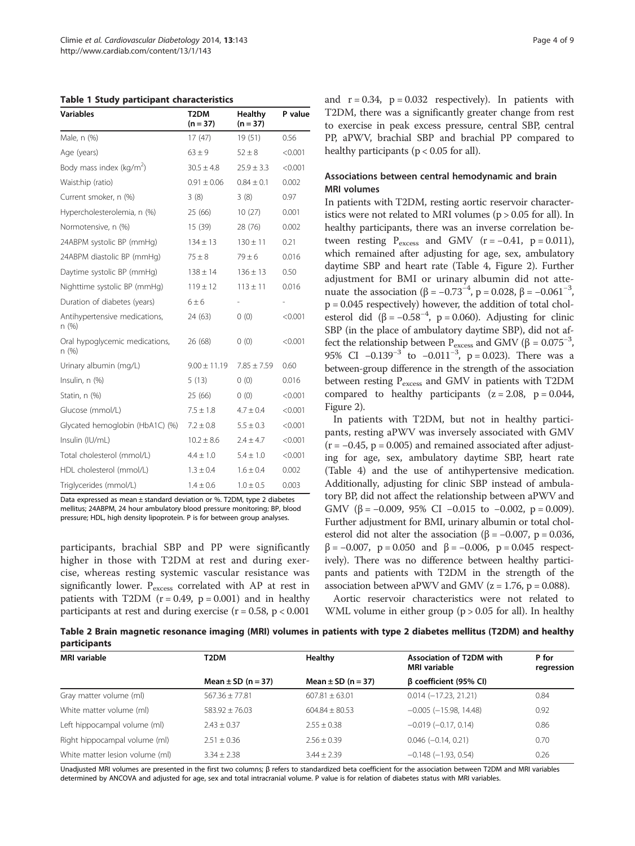<span id="page-3-0"></span>Table 1 Study participant characteristics

| <b>Variables</b>                       | T <sub>2</sub> DM<br>$(n = 37)$ | Healthy<br>$(n = 37)$ | P value |  |
|----------------------------------------|---------------------------------|-----------------------|---------|--|
| Male, n (%)                            | 17(47)                          | 19 (51)               | 0.56    |  |
| Age (years)                            | $63 + 9$                        | $52 \pm 8$            | < 0.001 |  |
| Body mass index ( $kg/m2$ )            | $30.5 \pm 4.8$                  | $25.9 \pm 3.3$        | < 0.001 |  |
| Waist:hip (ratio)                      | $0.91 \pm 0.06$                 | $0.84 \pm 0.1$        | 0.002   |  |
| Current smoker, n (%)                  | 3(8)                            | 3(8)                  | 0.97    |  |
| Hypercholesterolemia, n (%)            | 25 (66)                         | 10(27)                | 0.001   |  |
| Normotensive, n (%)                    | 15 (39)                         | 28 (76)               | 0.002   |  |
| 24ABPM systolic BP (mmHg)              | $134 \pm 13$                    | $130 \pm 11$          | 0.21    |  |
| 24ABPM diastolic BP (mmHg)             | $75 \pm 8$                      | $79 + 6$              | 0.016   |  |
| Daytime systolic BP (mmHq)             | $138 \pm 14$                    | $136 + 13$            | 0.50    |  |
| Nighttime systolic BP (mmHg)           | $119 \pm 12$                    | $113 \pm 11$          | 0.016   |  |
| Duration of diabetes (years)           | $6 \pm 6$                       |                       |         |  |
| Antihypertensive medications,<br>n(%)  | 24 (63)                         | (0)                   | < 0.001 |  |
| Oral hypoglycemic medications,<br>n(%) | 26 (68)                         | 0(0)                  | < 0.001 |  |
| Urinary albumin (mg/L)                 | $9.00 \pm 11.19$                | $7.85 \pm 7.59$       | 0.60    |  |
| Insulin, n (%)                         | 5(13)                           | (0)                   | 0.016   |  |
| Statin, n (%)                          | 25(66)                          | (0)                   | < 0.001 |  |
| Glucose (mmol/L)                       | $7.5 \pm 1.8$                   | $4.7 \pm 0.4$         | < 0.001 |  |
| Glycated hemoglobin (HbA1C) (%)        | $7.2 \pm 0.8$                   | $5.5 \pm 0.3$         | < 0.001 |  |
| Insulin (IU/mL)                        | $10.2 \pm 8.6$                  | $2.4 \pm 4.7$         | < 0.001 |  |
| Total cholesterol (mmol/L)             | $4.4 \pm 1.0$                   | $5.4 \pm 1.0$         | < 0.001 |  |
| HDL cholesterol (mmol/L)               | $1.3 \pm 0.4$                   | $1.6 \pm 0.4$         | 0.002   |  |
| Triglycerides (mmol/L)                 | $1.4 \pm 0.6$                   | $1.0 \pm 0.5$         | 0.003   |  |

Data expressed as mean ± standard deviation or %. T2DM, type 2 diabetes mellitus; 24ABPM, 24 hour ambulatory blood pressure monitoring; BP, blood pressure; HDL, high density lipoprotein. P is for between group analyses.

participants, brachial SBP and PP were significantly higher in those with T2DM at rest and during exercise, whereas resting systemic vascular resistance was significantly lower.  $P_{excess}$  correlated with AP at rest in patients with T2DM  $(r = 0.49, p = 0.001)$  and in healthy participants at rest and during exercise ( $r = 0.58$ ,  $p < 0.001$ 

and  $r = 0.34$ ,  $p = 0.032$  respectively). In patients with T2DM, there was a significantly greater change from rest to exercise in peak excess pressure, central SBP, central PP, aPWV, brachial SBP and brachial PP compared to healthy participants ( $p < 0.05$  for all).

## Associations between central hemodynamic and brain MRI volumes

In patients with T2DM, resting aortic reservoir characteristics were not related to MRI volumes (p > 0.05 for all). In healthy participants, there was an inverse correlation between resting  $P_{excess}$  and GMV (r = -0.41, p = 0.011), which remained after adjusting for age, sex, ambulatory daytime SBP and heart rate (Table [4](#page-5-0), Figure [2](#page-6-0)). Further adjustment for BMI or urinary albumin did not attenuate the association (β = -0.73<sup>-4</sup>, p = 0.028, β = -0.061<sup>-3</sup>,  $p = 0.045$  respectively) however, the addition of total cholesterol did ( $β = -0.58^{-4}$ ,  $p = 0.060$ ). Adjusting for clinic SBP (in the place of ambulatory daytime SBP), did not affect the relationship between P<sub>excess</sub> and GMV (β =  $0.075^{-3}$ , 95% CI  $-0.139^{-3}$  to  $-0.011^{-3}$ , p = 0.023). There was a between-group difference in the strength of the association between resting P<sub>excess</sub> and GMV in patients with T2DM compared to healthy participants  $(z = 2.08, p = 0.044,$ Figure [2](#page-6-0)).

In patients with T2DM, but not in healthy participants, resting aPWV was inversely associated with GMV  $(r = -0.45, p = 0.005)$  and remained associated after adjusting for age, sex, ambulatory daytime SBP, heart rate (Table [4](#page-5-0)) and the use of antihypertensive medication. Additionally, adjusting for clinic SBP instead of ambulatory BP, did not affect the relationship between aPWV and GMV ( $\beta$  = -0.009, 95% CI -0.015 to -0.002, p = 0.009). Further adjustment for BMI, urinary albumin or total cholesterol did not alter the association ( $\beta$  = -0.007, p = 0.036,  $β = -0.007$ ,  $p = 0.050$  and  $β = -0.006$ ,  $p = 0.045$  respectively). There was no difference between healthy participants and patients with T2DM in the strength of the association between aPWV and GMV ( $z = 1.76$ ,  $p = 0.088$ ).

Aortic reservoir characteristics were not related to WML volume in either group ( $p > 0.05$  for all). In healthy

Table 2 Brain magnetic resonance imaging (MRI) volumes in patients with type 2 diabetes mellitus (T2DM) and healthy participants

| <b>MRI</b> variable             | T2DM                   | Healthy                | <b>Association of T2DM with</b><br><b>MRI</b> variable | P for<br>regression |
|---------------------------------|------------------------|------------------------|--------------------------------------------------------|---------------------|
|                                 | Mean $\pm$ SD (n = 37) | Mean $\pm$ SD (n = 37) | $\beta$ coefficient (95% CI)                           |                     |
| Gray matter volume (ml)         | $567.36 \pm 77.81$     | $607.81 \pm 63.01$     | $0.014 (-17.23, 21.21)$                                | 0.84                |
| White matter volume (ml)        | $583.92 + 76.03$       | $604.84 \pm 80.53$     | $-0.005$ ( $-15.98$ , 14.48)                           | 0.92                |
| Left hippocampal volume (ml)    | $7.43 + 0.37$          | $2.55 + 0.38$          | $-0.019$ $(-0.17, 0.14)$                               | 0.86                |
| Right hippocampal volume (ml)   | $2.51 + 0.36$          | $2.56 + 0.39$          | $0.046$ ( $-0.14$ , $0.21$ )                           | 0.70                |
| White matter lesion volume (ml) | $3.34 + 2.38$          | $3.44 + 2.39$          | $-0.148$ $(-1.93, 0.54)$                               | 0.26                |

Unadjusted MRI volumes are presented in the first two columns; β refers to standardized beta coefficient for the association between T2DM and MRI variables determined by ANCOVA and adjusted for age, sex and total intracranial volume. P value is for relation of diabetes status with MRI variables.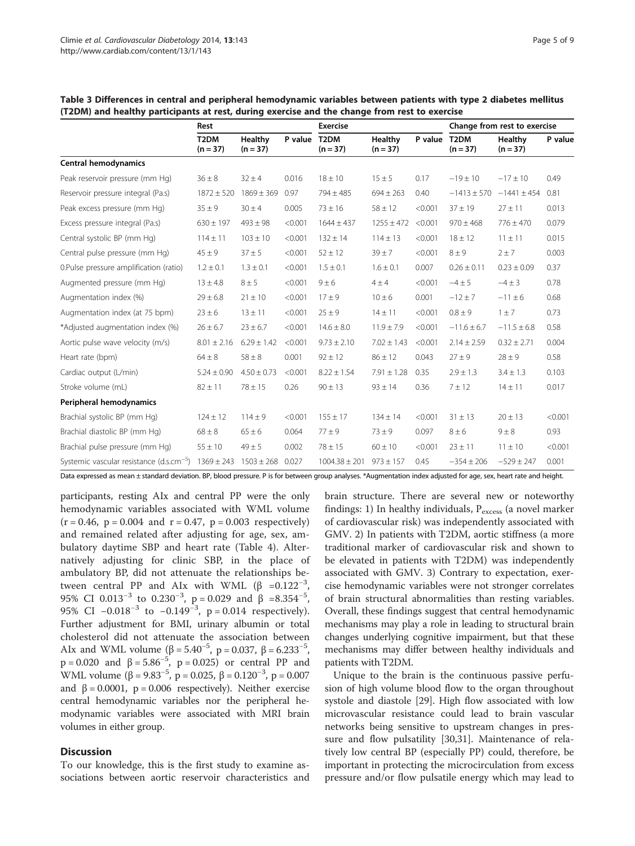|                                              | Rest                            |                               |         | <b>Exercise</b>                 |                       |         | Change from rest to exercise    |                       |         |
|----------------------------------------------|---------------------------------|-------------------------------|---------|---------------------------------|-----------------------|---------|---------------------------------|-----------------------|---------|
|                                              | T <sub>2</sub> DM<br>$(n = 37)$ | Healthy<br>$(n = 37)$         | P value | T <sub>2</sub> DM<br>$(n = 37)$ | Healthy<br>$(n = 37)$ | P value | T <sub>2</sub> DM<br>$(n = 37)$ | Healthy<br>$(n = 37)$ | P value |
| <b>Central hemodynamics</b>                  |                                 |                               |         |                                 |                       |         |                                 |                       |         |
| Peak reservoir pressure (mm Hg)              | $36 \pm 8$                      | $32 \pm 4$                    | 0.016   | $18 \pm 10$                     | $15 \pm 5$            | 0.17    | $-19 \pm 10$                    | $-17 \pm 10$          | 0.49    |
| Reservoir pressure integral (Pa.s)           | $1872 \pm 520$                  | $1869 \pm 369$                | 0.97    | $794 \pm 485$                   | $694 \pm 263$         | 0.40    | $-1413 \pm 570$                 | $-1441 \pm 454$       | 0.81    |
| Peak excess pressure (mm Hg)                 | $35 \pm 9$                      | $30 \pm 4$                    | 0.005   | $73 \pm 16$                     | $58 \pm 12$           | < 0.001 | $37 + 19$                       | $27 \pm 11$           | 0.013   |
| Excess pressure integral (Pa.s)              | $630 \pm 197$                   | $493 \pm 98$                  | < 0.001 | $1644 \pm 437$                  | $1255 \pm 472$        | < 0.001 | $970 \pm 468$                   | $776 \pm 470$         | 0.079   |
| Central systolic BP (mm Hg)                  | $114 \pm 11$                    | $103 \pm 10$                  | < 0.001 | $132 \pm 14$                    | $114 \pm 13$          | < 0.001 | $18 \pm 12$                     | $11 \pm 11$           | 0.015   |
| Central pulse pressure (mm Hg)               | $45 \pm 9$                      | $37 + 5$                      | < 0.001 | $52 \pm 12$                     | $39 \pm 7$            | < 0.001 | $8 \pm 9$                       | 2 ± 7                 | 0.003   |
| 0.Pulse pressure amplification (ratio)       | $1.2 \pm 0.1$                   | $1.3 \pm 0.1$                 | < 0.001 | $1.5 \pm 0.1$                   | $1.6 \pm 0.1$         | 0.007   | $0.26 \pm 0.11$                 | $0.23 \pm 0.09$       | 0.37    |
| Augmented pressure (mm Hg)                   | $13 \pm 4.8$                    | $8 \pm 5$                     | < 0.001 | $9 \pm 6$                       | $4 \pm 4$             | < 0.001 | $-4 \pm 5$                      | $-4 \pm 3$            | 0.78    |
| Augmentation index (%)                       | $29 \pm 6.8$                    | $21 \pm 10$                   | < 0.001 | $17 + 9$                        | $10 \pm 6$            | 0.001   | $-12 \pm 7$                     | $-11 \pm 6$           | 0.68    |
| Augmentation index (at 75 bpm)               | $23 \pm 6$                      | $13 \pm 11$                   | < 0.001 | $25 \pm 9$                      | $14 \pm 11$           | < 0.001 | $0.8 \pm 9$                     | $1 \pm 7$             | 0.73    |
| *Adjusted augmentation index (%)             | $26 \pm 6.7$                    | $23 \pm 6.7$                  | < 0.001 | $14.6 \pm 8.0$                  | $11.9 \pm 7.9$        | < 0.001 | $-11.6 \pm 6.7$                 | $-11.5 \pm 6.8$       | 0.58    |
| Aortic pulse wave velocity (m/s)             | $8.01 \pm 2.16$                 | $6.29 \pm 1.42$               | < 0.001 | $9.73 \pm 2.10$                 | $7.02 \pm 1.43$       | < 0.001 | $2.14 \pm 2.59$                 | $0.32 \pm 2.71$       | 0.004   |
| Heart rate (bpm)                             | $64 \pm 8$                      | $58 \pm 8$                    | 0.001   | $92 \pm 12$                     | $86 \pm 12$           | 0.043   | $27 \pm 9$                      | $28 \pm 9$            | 0.58    |
| Cardiac output (L/min)                       | $5.24 \pm 0.90$                 | $4.50 \pm 0.73$               | < 0.001 | $8.22 \pm 1.54$                 | $7.91 \pm 1.28$       | 0.35    | $2.9 \pm 1.3$                   | $3.4 \pm 1.3$         | 0.103   |
| Stroke volume (mL)                           | $82 \pm 11$                     | $78 \pm 15$                   | 0.26    | $90 \pm 13$                     | $93 \pm 14$           | 0.36    | 7 ± 12                          | $14 \pm 11$           | 0.017   |
| Peripheral hemodynamics                      |                                 |                               |         |                                 |                       |         |                                 |                       |         |
| Brachial systolic BP (mm Hg)                 | $124 \pm 12$                    | $114 + 9$                     | < 0.001 | $155 \pm 17$                    | $134 \pm 14$          | < 0.001 | $31 \pm 13$                     | $20 \pm 13$           | < 0.001 |
| Brachial diastolic BP (mm Hg)                | $68 \pm 8$                      | $65 \pm 6$                    | 0.064   | $77 + 9$                        | $73 \pm 9$            | 0.097   | $8 \pm 6$                       | $9 \pm 8$             | 0.93    |
| Brachial pulse pressure (mm Hg)              | $55 \pm 10$                     | $49 \pm 5$                    | 0.002   | $78 \pm 15$                     | $60 \pm 10$           | < 0.001 | $23 \pm 11$                     | $11 \pm 10$           | < 0.001 |
| Systemic vascular resistance $(d.s.cm^{-5})$ |                                 | $1369 \pm 243$ $1503 \pm 268$ | 0.027   | $1004.38 \pm 201$               | $973 \pm 157$         | 0.45    | $-354 \pm 206$                  | $-529 \pm 247$        | 0.001   |

<span id="page-4-0"></span>Table 3 Differences in central and peripheral hemodynamic variables between patients with type 2 diabetes mellitus (T2DM) and healthy participants at rest, during exercise and the change from rest to exercise

Data expressed as mean ± standard deviation. BP, blood pressure. P is for between group analyses. \*Augmentation index adjusted for age, sex, heart rate and height.

participants, resting AIx and central PP were the only hemodynamic variables associated with WML volume  $(r = 0.46, p = 0.004$  and  $r = 0.47, p = 0.003$  respectively) and remained related after adjusting for age, sex, ambulatory daytime SBP and heart rate (Table [4\)](#page-5-0). Alternatively adjusting for clinic SBP, in the place of ambulatory BP, did not attenuate the relationships between central PP and AIx with WML (β = $0.122^{-3}$ , 95% CI 0.013<sup>-3</sup> to 0.230<sup>-3</sup>, p = 0.029 and  $\beta$  =8.354<sup>-5</sup>, 95% CI  $-0.018^{-3}$  to  $-0.149^{-3}$ , p = 0.014 respectively). Further adjustment for BMI, urinary albumin or total cholesterol did not attenuate the association between AIx and WML volume ( $\beta = 5.40^{-5}$ ,  $p = 0.037$ ,  $\beta = 6.233^{-5}$ ,  $p = 0.020$  and  $β = 5.86^{-5}$ ,  $p = 0.025$  or central PP and WML volume ( $β = 9.83^{-5}$ ,  $p = 0.025$ ,  $β = 0.120^{-3}$ ,  $p = 0.007$ and  $β = 0.0001$ ,  $p = 0.006$  respectively). Neither exercise central hemodynamic variables nor the peripheral hemodynamic variables were associated with MRI brain volumes in either group.

### **Discussion**

To our knowledge, this is the first study to examine associations between aortic reservoir characteristics and

brain structure. There are several new or noteworthy findings: 1) In healthy individuals,  $P_{excess}$  (a novel marker of cardiovascular risk) was independently associated with GMV. 2) In patients with T2DM, aortic stiffness (a more traditional marker of cardiovascular risk and shown to be elevated in patients with T2DM) was independently associated with GMV. 3) Contrary to expectation, exercise hemodynamic variables were not stronger correlates of brain structural abnormalities than resting variables. Overall, these findings suggest that central hemodynamic mechanisms may play a role in leading to structural brain changes underlying cognitive impairment, but that these mechanisms may differ between healthy individuals and patients with T2DM.

Unique to the brain is the continuous passive perfusion of high volume blood flow to the organ throughout systole and diastole [[29\]](#page-8-0). High flow associated with low microvascular resistance could lead to brain vascular networks being sensitive to upstream changes in pressure and flow pulsatility [[30,31\]](#page-8-0). Maintenance of relatively low central BP (especially PP) could, therefore, be important in protecting the microcirculation from excess pressure and/or flow pulsatile energy which may lead to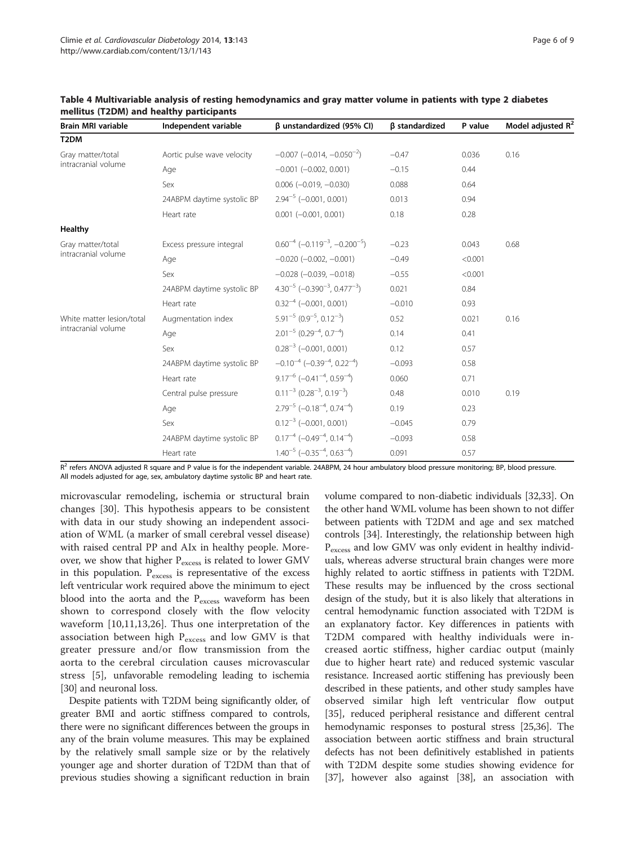| <b>Brain MRI variable</b>                | Independent variable       | β unstandardized (95% CI)                                  | β standardized | P value | Model adjusted R <sup>2</sup> |
|------------------------------------------|----------------------------|------------------------------------------------------------|----------------|---------|-------------------------------|
| T <sub>2</sub> DM                        |                            |                                                            |                |         |                               |
| Gray matter/total<br>intracranial volume | Aortic pulse wave velocity | $-0.007$ ( $-0.014$ , $-0.050^{-2}$ )                      | $-0.47$        | 0.036   | 0.16                          |
|                                          | Age                        | $-0.001$ $(-0.002, 0.001)$                                 | $-0.15$        | 0.44    |                               |
|                                          | Sex                        | $0.006$ ( $-0.019$ , $-0.030$ )                            | 0.088          | 0.64    |                               |
|                                          | 24ABPM daytime systolic BP | $2.94^{-5}$ (-0.001, 0.001)                                | 0.013          | 0.94    |                               |
|                                          | Heart rate                 | $0.001 (-0.001, 0.001)$                                    | 0.18           | 0.28    |                               |
| Healthy                                  |                            |                                                            |                |         |                               |
| Gray matter/total<br>intracranial volume | Excess pressure integral   | $0.60^{-4}$ (-0.119 <sup>-3</sup> , -0.200 <sup>-5</sup> ) | $-0.23$        | 0.043   | 0.68                          |
|                                          | Age                        | $-0.020$ $(-0.002, -0.001)$                                | $-0.49$        | < 0.001 |                               |
|                                          | Sex                        | $-0.028$ ( $-0.039$ , $-0.018$ )                           | $-0.55$        | < 0.001 |                               |
|                                          | 24ABPM daytime systolic BP | $4.30^{-5}$ (-0.390 <sup>-3</sup> , 0.477 <sup>-3</sup> )  | 0.021          | 0.84    |                               |
|                                          | Heart rate                 | $0.32^{-4}$ (-0.001, 0.001)                                | $-0.010$       | 0.93    |                               |
| White matter lesion/total                | Augmentation index         | $5.91^{-5}$ (0.9 <sup>-5</sup> , 0.12 <sup>-3</sup> )      | 0.52           | 0.021   | 0.16                          |
| intracranial volume                      | Age                        | $2.01^{-5}$ (0.29 <sup>-4</sup> , 0.7 <sup>-4</sup> )      | 0.14           | 0.41    |                               |
|                                          | Sex                        | $0.28^{-3}$ (-0.001, 0.001)                                | 0.12           | 0.57    |                               |
|                                          | 24ABPM daytime systolic BP | $-0.10^{-4}$ ( $-0.39^{-4}$ , 0.22 <sup>-4</sup> )         | $-0.093$       | 0.58    |                               |
|                                          | Heart rate                 | $9.17^{-6}$ (-0.41 <sup>-4</sup> , 0.59 <sup>-4</sup> )    | 0.060          | 0.71    |                               |
|                                          | Central pulse pressure     | $0.11^{-3}$ (0.28 <sup>-3</sup> , 0.19 <sup>-3</sup> )     | 0.48           | 0.010   | 0.19                          |
|                                          | Age                        | $2.79^{-5}$ (-0.18 <sup>-4</sup> , 0.74 <sup>-4</sup> )    | 0.19           | 0.23    |                               |
|                                          | Sex                        | $0.12^{-3}$ (-0.001, 0.001)                                | $-0.045$       | 0.79    |                               |
|                                          | 24ABPM daytime systolic BP | $0.17^{-4}$ (-0.49 <sup>-4</sup> , 0.14 <sup>-4</sup> )    | $-0.093$       | 0.58    |                               |
|                                          | Heart rate                 | $1.40^{-5}$ (-0.35 <sup>-4</sup> , 0.63 <sup>-4</sup> )    | 0.091          | 0.57    |                               |

<span id="page-5-0"></span>

| Table 4 Multivariable analysis of resting hemodynamics and gray matter volume in patients with type 2 diabetes |  |  |
|----------------------------------------------------------------------------------------------------------------|--|--|
| mellitus (T2DM) and healthy participants                                                                       |  |  |

R<sup>2</sup> refers ANOVA adjusted R square and P value is for the independent variable. 24ABPM, 24 hour ambulatory blood pressure monitoring; BP, blood pressure. All models adjusted for age, sex, ambulatory daytime systolic BP and heart rate.

microvascular remodeling, ischemia or structural brain changes [[30\]](#page-8-0). This hypothesis appears to be consistent with data in our study showing an independent association of WML (a marker of small cerebral vessel disease) with raised central PP and AIx in healthy people. Moreover, we show that higher  $P_{excess}$  is related to lower GMV in this population.  $P_{excess}$  is representative of the excess left ventricular work required above the minimum to eject blood into the aorta and the  $P_{excess}$  waveform has been shown to correspond closely with the flow velocity waveform [\[10](#page-7-0),[11,13,](#page-7-0)[26\]](#page-8-0). Thus one interpretation of the association between high  $P_{excess}$  and low GMV is that greater pressure and/or flow transmission from the aorta to the cerebral circulation causes microvascular stress [[5\]](#page-7-0), unfavorable remodeling leading to ischemia [[30](#page-8-0)] and neuronal loss.

Despite patients with T2DM being significantly older, of greater BMI and aortic stiffness compared to controls, there were no significant differences between the groups in any of the brain volume measures. This may be explained by the relatively small sample size or by the relatively younger age and shorter duration of T2DM than that of previous studies showing a significant reduction in brain volume compared to non-diabetic individuals [[32,33](#page-8-0)]. On the other hand WML volume has been shown to not differ between patients with T2DM and age and sex matched controls [[34](#page-8-0)]. Interestingly, the relationship between high P<sub>excess</sub> and low GMV was only evident in healthy individuals, whereas adverse structural brain changes were more highly related to aortic stiffness in patients with T2DM. These results may be influenced by the cross sectional design of the study, but it is also likely that alterations in central hemodynamic function associated with T2DM is an explanatory factor. Key differences in patients with T2DM compared with healthy individuals were increased aortic stiffness, higher cardiac output (mainly due to higher heart rate) and reduced systemic vascular resistance. Increased aortic stiffening has previously been described in these patients, and other study samples have observed similar high left ventricular flow output [[35\]](#page-8-0), reduced peripheral resistance and different central hemodynamic responses to postural stress [\[25,36](#page-8-0)]. The association between aortic stiffness and brain structural defects has not been definitively established in patients with T2DM despite some studies showing evidence for [[37](#page-8-0)], however also against [\[38\]](#page-8-0), an association with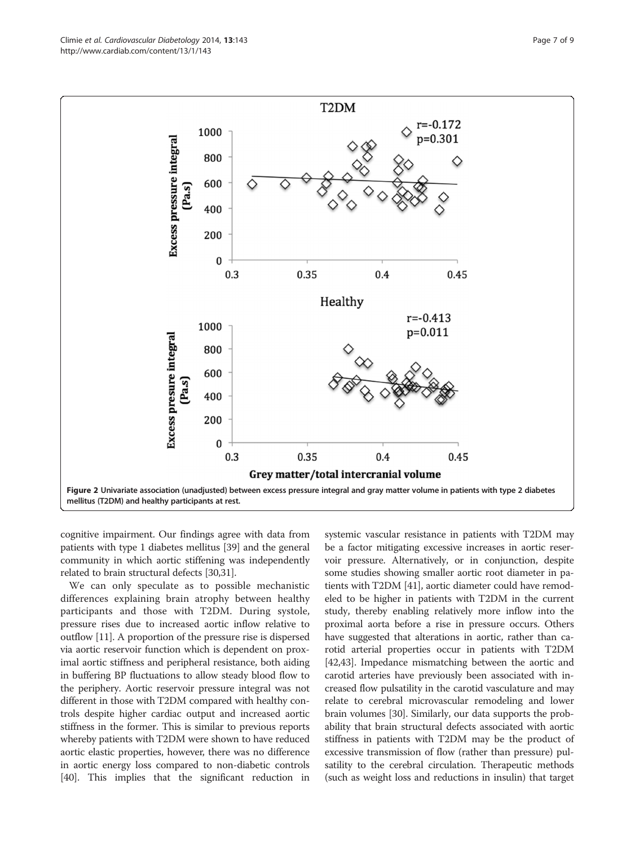<span id="page-6-0"></span>

cognitive impairment. Our findings agree with data from patients with type 1 diabetes mellitus [\[39](#page-8-0)] and the general community in which aortic stiffening was independently related to brain structural defects [\[30,31\]](#page-8-0).

We can only speculate as to possible mechanistic differences explaining brain atrophy between healthy participants and those with T2DM. During systole, pressure rises due to increased aortic inflow relative to outflow [[11](#page-7-0)]. A proportion of the pressure rise is dispersed via aortic reservoir function which is dependent on proximal aortic stiffness and peripheral resistance, both aiding in buffering BP fluctuations to allow steady blood flow to the periphery. Aortic reservoir pressure integral was not different in those with T2DM compared with healthy controls despite higher cardiac output and increased aortic stiffness in the former. This is similar to previous reports whereby patients with T2DM were shown to have reduced aortic elastic properties, however, there was no difference in aortic energy loss compared to non-diabetic controls [[40](#page-8-0)]. This implies that the significant reduction in

systemic vascular resistance in patients with T2DM may be a factor mitigating excessive increases in aortic reservoir pressure. Alternatively, or in conjunction, despite some studies showing smaller aortic root diameter in patients with T2DM [\[41\]](#page-8-0), aortic diameter could have remodeled to be higher in patients with T2DM in the current study, thereby enabling relatively more inflow into the proximal aorta before a rise in pressure occurs. Others have suggested that alterations in aortic, rather than carotid arterial properties occur in patients with T2DM [[42](#page-8-0),[43](#page-8-0)]. Impedance mismatching between the aortic and carotid arteries have previously been associated with increased flow pulsatility in the carotid vasculature and may relate to cerebral microvascular remodeling and lower brain volumes [[30\]](#page-8-0). Similarly, our data supports the probability that brain structural defects associated with aortic stiffness in patients with T2DM may be the product of excessive transmission of flow (rather than pressure) pulsatility to the cerebral circulation. Therapeutic methods (such as weight loss and reductions in insulin) that target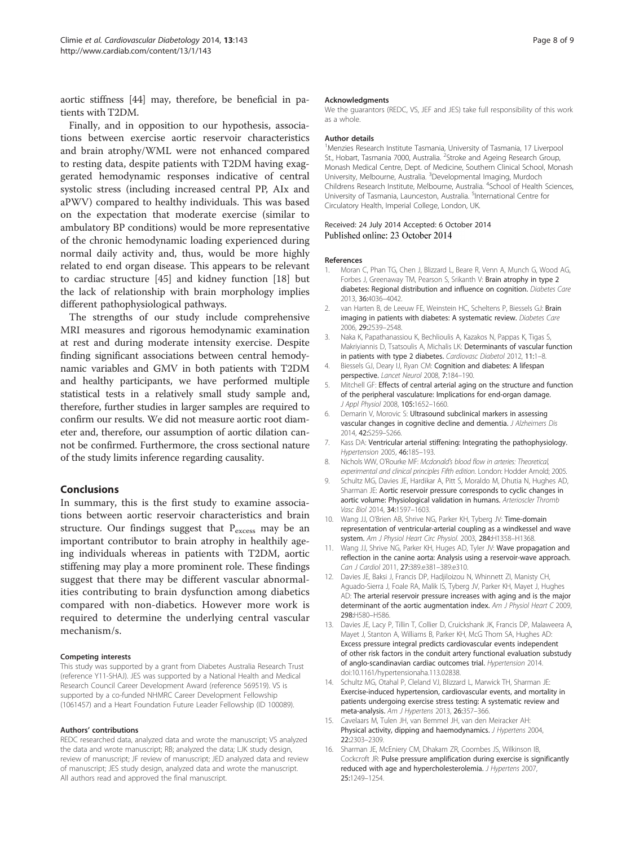<span id="page-7-0"></span>aortic stiffness [\[44\]](#page-8-0) may, therefore, be beneficial in patients with T2DM.

Finally, and in opposition to our hypothesis, associations between exercise aortic reservoir characteristics and brain atrophy/WML were not enhanced compared to resting data, despite patients with T2DM having exaggerated hemodynamic responses indicative of central systolic stress (including increased central PP, AIx and aPWV) compared to healthy individuals. This was based on the expectation that moderate exercise (similar to ambulatory BP conditions) would be more representative of the chronic hemodynamic loading experienced during normal daily activity and, thus, would be more highly related to end organ disease. This appears to be relevant to cardiac structure [\[45\]](#page-8-0) and kidney function [\[18](#page-8-0)] but the lack of relationship with brain morphology implies different pathophysiological pathways.

The strengths of our study include comprehensive MRI measures and rigorous hemodynamic examination at rest and during moderate intensity exercise. Despite finding significant associations between central hemodynamic variables and GMV in both patients with T2DM and healthy participants, we have performed multiple statistical tests in a relatively small study sample and, therefore, further studies in larger samples are required to confirm our results. We did not measure aortic root diameter and, therefore, our assumption of aortic dilation cannot be confirmed. Furthermore, the cross sectional nature of the study limits inference regarding causality.

### Conclusions

In summary, this is the first study to examine associations between aortic reservoir characteristics and brain structure. Our findings suggest that  $P_{excess}$  may be an important contributor to brain atrophy in healthily ageing individuals whereas in patients with T2DM, aortic stiffening may play a more prominent role. These findings suggest that there may be different vascular abnormalities contributing to brain dysfunction among diabetics compared with non-diabetics. However more work is required to determine the underlying central vascular mechanism/s.

#### Competing interests

This study was supported by a grant from Diabetes Australia Research Trust (reference Y11-SHAJ). JES was supported by a National Health and Medical Research Council Career Development Award (reference 569519). VS is supported by a co-funded NHMRC Career Development Fellowship (1061457) and a Heart Foundation Future Leader Fellowship (ID 100089).

#### Authors' contributions

REDC researched data, analyzed data and wrote the manuscript; VS analyzed the data and wrote manuscript; RB; analyzed the data; LJK study design, review of manuscript; JF review of manuscript; JED analyzed data and review of manuscript; JES study design, analyzed data and wrote the manuscript. All authors read and approved the final manuscript.

#### Acknowledgments

We the guarantors (REDC, VS, JEF and JES) take full responsibility of this work as a whole.

#### Author details

<sup>1</sup>Menzies Research Institute Tasmania, University of Tasmania, 17 Liverpool St., Hobart, Tasmania 7000, Australia. <sup>2</sup>Stroke and Ageing Research Group, Monash Medical Centre, Dept. of Medicine, Southern Clinical School, Monash University, Melbourne, Australia. <sup>3</sup>Developmental Imaging, Murdoch Childrens Research Institute, Melbourne, Australia. <sup>4</sup>School of Health Sciences University of Tasmania, Launceston, Australia. <sup>5</sup>International Centre for Circulatory Health, Imperial College, London, UK.

#### Received: 24 July 2014 Accepted: 6 October 2014 Published online: 23 October 2014

#### References

- Moran C, Phan TG, Chen J, Blizzard L, Beare R, Venn A, Munch G, Wood AG, Forbes J, Greenaway TM, Pearson S, Srikanth V: Brain atrophy in type 2 diabetes: Regional distribution and influence on cognition. Diabetes Care 2013, 36:4036–4042.
- 2. van Harten B, de Leeuw FE, Weinstein HC, Scheltens P, Biessels GJ: Brain imaging in patients with diabetes: A systematic review. Diabetes Care 2006, 29:2539–2548.
- 3. Naka K, Papathanassiou K, Bechlioulis A, Kazakos N, Pappas K, Tigas S, Makriyiannis D, Tsatsoulis A, Michalis LK: Determinants of vascular function in patients with type 2 diabetes. Cardiovasc Diabetol 2012, 11:1-8.
- 4. Biessels GJ, Deary IJ, Ryan CM: Cognition and diabetes: A lifespan perspective. Lancet Neurol 2008, 7:184–190.
- 5. Mitchell GF: Effects of central arterial aging on the structure and function of the peripheral vasculature: Implications for end-organ damage. J Appl Physiol 2008, 105:1652–1660.
- 6. Demarin V, Morovic S: Ultrasound subclinical markers in assessing vascular changes in cognitive decline and dementia. J Alzheimers Dis 2014, 42:S259–S266.
- Kass DA: Ventricular arterial stiffening: Integrating the pathophysiology. Hypertension 2005, 46:185–193.
- 8. Nichols WW, O'Rourke MF: Mcdonald's blood flow in arteries: Theoretical, experimental and clinical principles Fifth edition. London: Hodder Arnold; 2005.
- 9. Schultz MG, Davies JE, Hardikar A, Pitt S, Moraldo M, Dhutia N, Hughes AD, Sharman JE: Aortic reservoir pressure corresponds to cyclic changes in aortic volume: Physiological validation in humans. Arterioscler Thromb Vasc Biol 2014, 34:1597–1603.
- 10. Wang JJ, O'Brien AB, Shrive NG, Parker KH, Tyberg JV: Time-domain representation of ventricular-arterial coupling as a windkessel and wave system. Am J Physiol Heart Circ Physiol. 2003, 284:H1358–H1368.
- 11. Wang JJ, Shrive NG, Parker KH, Huges AD, Tyler JV: Wave propagation and reflection in the canine aorta: Analysis using a reservoir-wave approach. Can J Cardiol 2011, 27:389.e381–389.e310.
- 12. Davies JE, Baksi J, Francis DP, Hadjiloizou N, Whinnett ZI, Manisty CH, Aguado-Sierra J, Foale RA, Malik IS, Tyberg JV, Parker KH, Mayet J, Hughes AD: The arterial reservoir pressure increases with aging and is the major determinant of the aortic augmentation index. Am J Physiol Heart C 2009, 298:H580–H586.
- 13. Davies JE, Lacy P, Tillin T, Collier D, Cruickshank JK, Francis DP, Malaweera A, Mayet J, Stanton A, Williams B, Parker KH, McG Thom SA, Hughes AD: Excess pressure integral predicts cardiovascular events independent of other risk factors in the conduit artery functional evaluation substudy of anglo-scandinavian cardiac outcomes trial. Hypertension 2014. doi:10.1161/hypertensionaha.113.02838.
- 14. Schultz MG, Otahal P, Cleland VJ, Blizzard L, Marwick TH, Sharman JE: Exercise-induced hypertension, cardiovascular events, and mortality in patients undergoing exercise stress testing: A systematic review and meta-analysis. Am J Hypertens 2013, 26:357–366.
- 15. Cavelaars M, Tulen JH, van Bemmel JH, van den Meiracker AH: Physical activity, dipping and haemodynamics. J Hypertens 2004, 22:2303–2309.
- 16. Sharman JE, McEniery CM, Dhakam ZR, Coombes JS, Wilkinson IB, Cockcroft JR: Pulse pressure amplification during exercise is significantly reduced with age and hypercholesterolemia. J Hypertens 2007, 25:1249–1254.